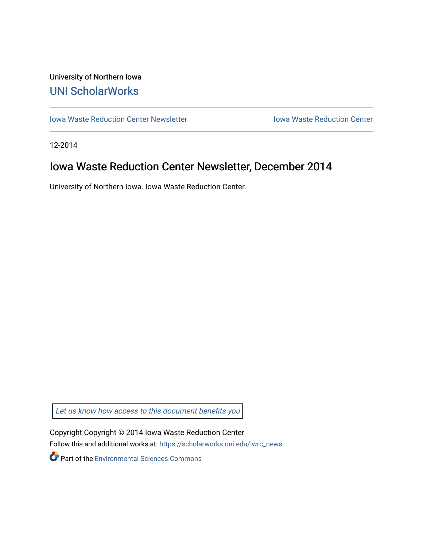## University of Northern Iowa [UNI ScholarWorks](https://scholarworks.uni.edu/)

[Iowa Waste Reduction Center Newsletter](https://scholarworks.uni.edu/iwrc_news) **Internal Communist Communist Center** Iowa Waste Reduction Center

12-2014

## Iowa Waste Reduction Center Newsletter, December 2014

University of Northern Iowa. Iowa Waste Reduction Center.

Let us know how access to this document benefits you

Copyright Copyright © 2014 Iowa Waste Reduction Center Follow this and additional works at: [https://scholarworks.uni.edu/iwrc\\_news](https://scholarworks.uni.edu/iwrc_news?utm_source=scholarworks.uni.edu%2Fiwrc_news%2F84&utm_medium=PDF&utm_campaign=PDFCoverPages) 

**Part of the [Environmental Sciences Commons](http://network.bepress.com/hgg/discipline/167?utm_source=scholarworks.uni.edu%2Fiwrc_news%2F84&utm_medium=PDF&utm_campaign=PDFCoverPages)**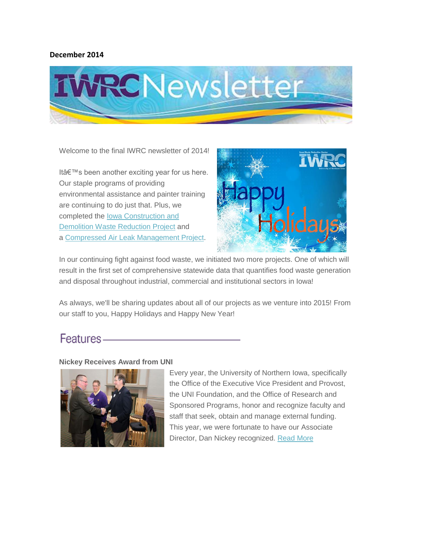#### **December 2014**



Welcome to the final IWRC newsletter of 2014!

It's been another exciting year for us here. Our staple programs of providing environmental assistance and painter training are continuing to do just that. Plus, we completed the [Iowa Construction and](http://iwrc.org/services/construction-and-demolition/)  [Demolition Waste Reduction Project](http://iwrc.org/services/construction-and-demolition/) and a [Compressed Air Leak Management Project.](http://iwrc.org/services/compressed-air/)



In our continuing fight against food waste, we initiated two more projects. One of which will result in the first set of comprehensive statewide data that quantifies food waste generation and disposal throughout industrial, commercial and institutional sectors in Iowa!

As always, we'll be sharing updates about all of our projects as we venture into 2015! From our staff to you, Happy Holidays and Happy New Year!

## Features-

#### **Nickey Receives Award from UNI**



Every year, the University of Northern Iowa, specifically the Office of the Executive Vice President and Provost, the UNI Foundation, and the Office of Research and Sponsored Programs, honor and recognize faculty and staff that seek, obtain and manage external funding. This year, we were fortunate to have our Associate Director, Dan Nickey recognized. [Read More](http://iwrc.org/blog/nickey-recognized-uni/)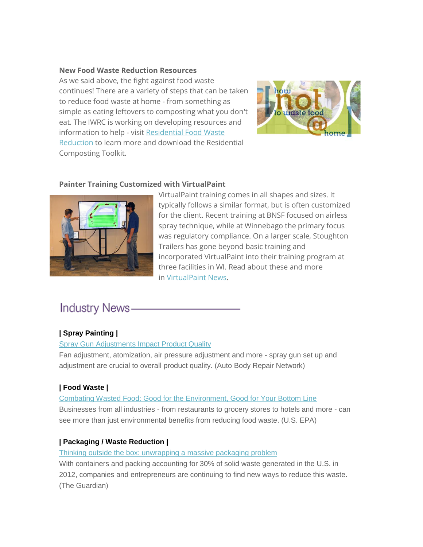#### **New Food Waste Reduction Resources**

As we said above, the fight against food waste continues! There are a variety of steps that can be taken to reduce food waste at home - from something as simple as eating leftovers to composting what you don't eat. The IWRC is working on developing resources and information to help - visit [Residential Food Waste](http://iwrc.org/services/food-waste/residential-food-waste-reduction/)  [Reduction](http://iwrc.org/services/food-waste/residential-food-waste-reduction/) to learn more and download the Residential Composting Toolkit.



## **Painter Training Customized with VirtualPaint**



VirtualPaint training comes in all shapes and sizes. It typically follows a similar format, but is often customized for the client. Recent training at BNSF focused on airless spray technique, while at Winnebago the primary focus was regulatory compliance. On a larger scale, Stoughton Trailers has gone beyond basic training and incorporated VirtualPaint into their training program at three facilities in WI. Read about these and more in [VirtualPaint News.](http://iwrc.org/services/painter-training/painter-training-products/virtualpaint/virtualpaint-news/)

# **Industry News-**

## **| Spray Painting |**

#### [Spray Gun Adjustments Impact Product Quality](http://www.searchautoparts.com/abrn/paint-shop/spray-gun-adjustments-impact-product-quality)

Fan adjustment, atomization, air pressure adjustment and more - spray gun set up and adjustment are crucial to overall product quality. (Auto Body Repair Network)

## **| Food Waste |**

[Combating Wasted Food: Good for the Environment, Good for Your Bottom Line](http://blog.epa.gov/epaconnect/2014/11/combating-wasted-food-good-for-the-environment-good-for-your-bottom-line/) Businesses from all industries - from restaurants to grocery stores to hotels and more - can see more than just environmental benefits from reducing food waste. (U.S. EPA)

## **| Packaging / Waste Reduction |**

## [Thinking outside the box: unwrapping a massive packaging problem](http://www.theguardian.com/sustainable-business/2014/nov/18/online-shopping-holidays-packaging-waste-recycling)

With containers and packing accounting for 30% of solid waste generated in the U.S. in 2012, companies and entrepreneurs are continuing to find new ways to reduce this waste. (The Guardian)